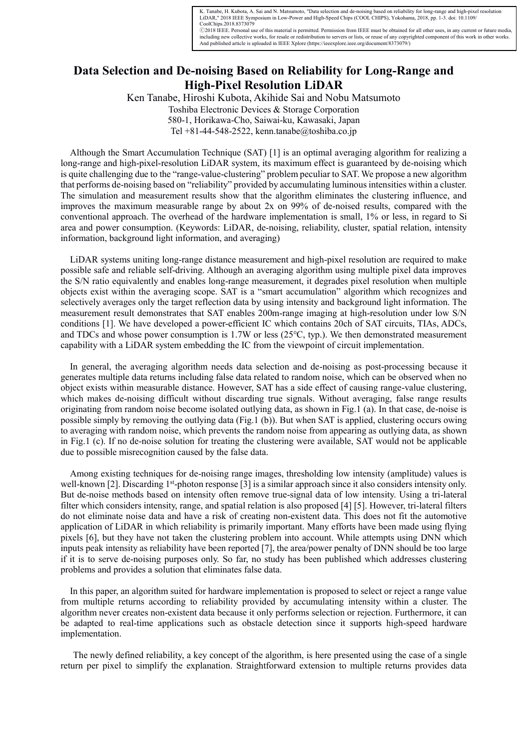K. Tanabe, H. Kubota, A. Sai and N. Matsumoto, "Data selection and de-noising based on reliability for long-range and high-pixel resolution<br>LiDAR," 2018 IEEE Symposium in Low-Power and High-Speed Chips (COOL CHIPS), Yokoha CoolChips.2018.8373079

Ⓒ2018 IEEE. Personal use of this material is permitted. Permission from IEEE must be obtained for all other uses, in any current or future media, including new collective works, for resale or redistribution to servers or lists, or reuse of any copyrighted component of this work in other works.<br>And published article is uploaded in IEEE Xplore (https://ieeexplore.ieee

## **Data Selection and De-noising Based on Reliability for Long-Range and High-Pixel Resolution LiDAR**

Ken Tanabe, Hiroshi Kubota, Akihide Sai and Nobu Matsumoto

Toshiba Electronic Devices & Storage Corporation 580-1, Horikawa-Cho, Saiwai-ku, Kawasaki, Japan Tel +81-44-548-2522, kenn.tanabe@toshiba.co.jp

Although the Smart Accumulation Technique (SAT) [1] is an optimal averaging algorithm for realizing a long-range and high-pixel-resolution LiDAR system, its maximum effect is guaranteed by de-noising which is quite challenging due to the "range-value-clustering" problem peculiar to SAT. We propose a new algorithm that performs de-noising based on "reliability" provided by accumulating luminous intensities within a cluster. The simulation and measurement results show that the algorithm eliminates the clustering influence, and improves the maximum measurable range by about 2x on 99% of de-noised results, compared with the conventional approach. The overhead of the hardware implementation is small, 1% or less, in regard to Si area and power consumption. (Keywords: LiDAR, de-noising, reliability, cluster, spatial relation, intensity information, background light information, and averaging)

LiDAR systems uniting long-range distance measurement and high-pixel resolution are required to make possible safe and reliable self-driving. Although an averaging algorithm using multiple pixel data improves the S/N ratio equivalently and enables long-range measurement, it degrades pixel resolution when multiple objects exist within the averaging scope. SAT is a "smart accumulation" algorithm which recognizes and selectively averages only the target reflection data by using intensity and background light information. The measurement result demonstrates that SAT enables 200m-range imaging at high-resolution under low S/N conditions [1]. We have developed a power-efficient IC which contains 20ch of SAT circuits, TIAs, ADCs, and TDCs and whose power consumption is 1.7W or less  $(25^{\circ}C, typ.)$ . We then demonstrated measurement capability with a LiDAR system embedding the IC from the viewpoint of circuit implementation.

In general, the averaging algorithm needs data selection and de-noising as post-processing because it generates multiple data returns including false data related to random noise, which can be observed when no object exists within measurable distance. However, SAT has a side effect of causing range-value clustering, which makes de-noising difficult without discarding true signals. Without averaging, false range results originating from random noise become isolated outlying data, as shown in Fig.1 (a). In that case, de-noise is possible simply by removing the outlying data (Fig.1 (b)). But when SAT is applied, clustering occurs owing to averaging with random noise, which prevents the random noise from appearing as outlying data, as shown in Fig.1 (c). If no de-noise solution for treating the clustering were available, SAT would not be applicable due to possible misrecognition caused by the false data.

Among existing techniques for de-noising range images, thresholding low intensity (amplitude) values is well-known [2]. Discarding 1<sup>st</sup>-photon response [3] is a similar approach since it also considers intensity only. But de-noise methods based on intensity often remove true-signal data of low intensity. Using a tri-lateral filter which considers intensity, range, and spatial relation is also proposed [4] [5]. However, tri-lateral filters do not eliminate noise data and have a risk of creating non-existent data. This does not fit the automotive application of LiDAR in which reliability is primarily important. Many efforts have been made using flying pixels [6], but they have not taken the clustering problem into account. While attempts using DNN which inputs peak intensity as reliability have been reported [7], the area/power penalty of DNN should be too large if it is to serve de-noising purposes only. So far, no study has been published which addresses clustering problems and provides a solution that eliminates false data.

In this paper, an algorithm suited for hardware implementation is proposed to select or reject a range value from multiple returns according to reliability provided by accumulating intensity within a cluster. The algorithm never creates non-existent data because it only performs selection or rejection. Furthermore, it can be adapted to real-time applications such as obstacle detection since it supports high-speed hardware implementation.

The newly defined reliability, a key concept of the algorithm, is here presented using the case of a single return per pixel to simplify the explanation. Straightforward extension to multiple returns provides data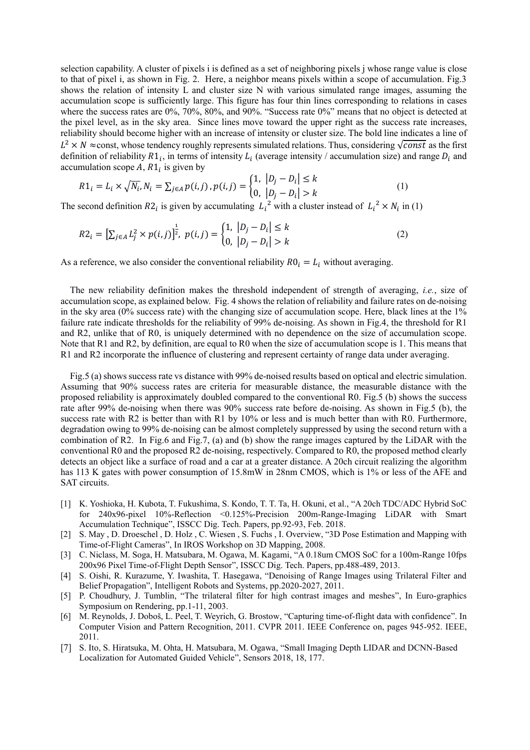selection capability. A cluster of pixels i is defined as a set of neighboring pixels j whose range value is close to that of pixel i, as shown in Fig. 2. Here, a neighbor means pixels within a scope of accumulation. Fig.3 shows the relation of intensity L and cluster size N with various simulated range images, assuming the accumulation scope is sufficiently large. This figure has four thin lines corresponding to relations in cases where the success rates are 0%, 70%, 80%, and 90%. "Success rate 0%" means that no object is detected at the pixel level, as in the sky area. Since lines move toward the upper right as the success rate increases, reliability should become higher with an increase of intensity or cluster size. The bold line indicates a line of  $L^2 \times N \approx$ const, whose tendency roughly represents simulated relations. Thus, considering  $\sqrt{const}$  as the first definition of reliability  $R1_i$ , in terms of intensity  $L_i$  (average intensity / accumulation size) and range  $D_i$  and accumulation scope  $A$ ,  $R1_i$  is given by

$$
R1_i = L_i \times \sqrt{N_i}, N_i = \sum_{j \in A} p(i, j), p(i, j) = \begin{cases} 1, & |D_j - D_i| \le k \\ 0, & |D_j - D_i| > k \end{cases} \tag{1}
$$

The second definition  $R2_i$  is given by accumulating  $L_i^2$  with a cluster instead of  $L_i^2 \times N_i$  in (1)

$$
R2_i = \left[\sum_{j \in A} L_j^2 \times p(i,j)\right]^{\frac{1}{2}}, \ p(i,j) = \begin{cases} 1, & |D_j - D_i| \le k \\ 0, & |D_j - D_i| > k \end{cases} \tag{2}
$$

As a reference, we also consider the conventional reliability  $R0_i = L_i$  without averaging.

The new reliability definition makes the threshold independent of strength of averaging, *i.e.*, size of accumulation scope, as explained below. Fig. 4 shows the relation of reliability and failure rates on de-noising in the sky area (0% success rate) with the changing size of accumulation scope. Here, black lines at the 1% failure rate indicate thresholds for the reliability of 99% de-noising. As shown in Fig.4, the threshold for R1 and R2, unlike that of R0, is uniquely determined with no dependence on the size of accumulation scope. Note that R1 and R2, by definition, are equal to R0 when the size of accumulation scope is 1. This means that R1 and R2 incorporate the influence of clustering and represent certainty of range data under averaging.

Fig.5 (a) shows success rate vs distance with 99% de-noised results based on optical and electric simulation. Assuming that 90% success rates are criteria for measurable distance, the measurable distance with the proposed reliability is approximately doubled compared to the conventional R0. Fig.5 (b) shows the success rate after 99% de-noising when there was 90% success rate before de-noising. As shown in Fig.5 (b), the success rate with R2 is better than with R1 by 10% or less and is much better than with R0. Furthermore, degradation owing to 99% de-noising can be almost completely suppressed by using the second return with a combination of R2. In Fig.6 and Fig.7, (a) and (b) show the range images captured by the LiDAR with the conventional R0 and the proposed R2 de-noising, respectively. Compared to R0, the proposed method clearly detects an object like a surface of road and a car at a greater distance. A 20ch circuit realizing the algorithm has 113 K gates with power consumption of 15.8mW in 28nm CMOS, which is 1% or less of the AFE and SAT circuits.

- [1] K. Yoshioka, H. Kubota, T. Fukushima, S. Kondo, T. T. Ta, H. Okuni, et al., "A 20ch TDC/ADC Hybrid SoC for 240x96-pixel 10%-Reflection <0.125%-Precision 200m-Range-Imaging LiDAR with Smart Accumulation Technique", ISSCC Dig. Tech. Papers, pp.92-93, Feb. 2018.
- [2] S. May , D. Droeschel , D. Holz , C. Wiesen , S. Fuchs , I. Overview, "3D Pose Estimation and Mapping with Time-of-Flight Cameras", In IROS Workshop on 3D Mapping, 2008.
- [3] C. Niclass, M. Soga, H. Matsubara, M. Ogawa, M. Kagami, "A 0.18um CMOS SoC for a 100m-Range 10fps 200x96 Pixel Time-of-Flight Depth Sensor", ISSCC Dig. Tech. Papers, pp.488-489, 2013.
- [4] S. Oishi, R. Kurazume, Y. Iwashita, T. Hasegawa, "Denoising of Range Images using Trilateral Filter and Belief Propagation", Intelligent Robots and Systems, pp.2020-2027, 2011.
- [5] P. Choudhury, J. Tumblin, "The trilateral filter for high contrast images and meshes", In Euro-graphics Symposium on Rendering, pp.1-11, 2003.
- [6] M. Reynolds, J. Doboš, L. Peel, T. Weyrich, G. Brostow, "Capturing time-of-flight data with confidence". In Computer Vision and Pattern Recognition, 2011. CVPR 2011. IEEE Conference on, pages 945-952. IEEE, 2011.
- [7] S. Ito, S. Hiratsuka, M. Ohta, H. Matsubara, M. Ogawa, "Small Imaging Depth LIDAR and DCNN-Based Localization for Automated Guided Vehicle", Sensors 2018, 18, 177.